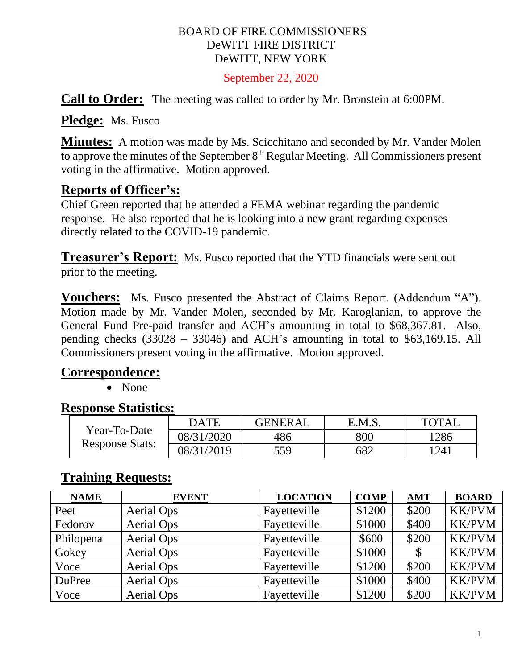#### BOARD OF FIRE COMMISSIONERS DeWITT FIRE DISTRICT DeWITT, NEW YORK

September 22, 2020

**Call to Order:** The meeting was called to order by Mr. Bronstein at 6:00PM.

**Pledge:** Ms. Fusco

**Minutes:** A motion was made by Ms. Scicchitano and seconded by Mr. Vander Molen to approve the minutes of the September  $8<sup>th</sup>$  Regular Meeting. All Commissioners present voting in the affirmative. Motion approved.

# **Reports of Officer's:**

Chief Green reported that he attended a FEMA webinar regarding the pandemic response. He also reported that he is looking into a new grant regarding expenses directly related to the COVID-19 pandemic.

**Treasurer's Report:** Ms. Fusco reported that the YTD financials were sent out prior to the meeting.

**Vouchers:** Ms. Fusco presented the Abstract of Claims Report. (Addendum "A"). Motion made by Mr. Vander Molen, seconded by Mr. Karoglanian, to approve the General Fund Pre-paid transfer and ACH's amounting in total to \$68,367.81. Also, pending checks (33028 – 33046) and ACH's amounting in total to \$63,169.15. All Commissioners present voting in the affirmative. Motion approved.

### **Correspondence:**

• None

### **Response Statistics:**

| Year-To-Date<br><b>Response Stats:</b> | DATE       | <b>GENERAL</b> | E.M.S. | <b>TOTAL</b> |
|----------------------------------------|------------|----------------|--------|--------------|
|                                        | 08/31/2020 | 486            | 800    | 1286         |
|                                        | 08/31/2019 | 559            | 682    | 1241         |

# **Training Requests:**

| <b>NAME</b>   | <b>EVENT</b> | <b>LOCATION</b> | <b>COMP</b> | <b>AMT</b> | <b>BOARD</b>  |
|---------------|--------------|-----------------|-------------|------------|---------------|
| Peet          | Aerial Ops   | Fayetteville    | \$1200      | \$200      | <b>KK/PVM</b> |
| Fedorov       | Aerial Ops   | Fayetteville    | \$1000      | \$400      | <b>KK/PVM</b> |
| Philopena     | Aerial Ops   | Fayetteville    | \$600       | \$200      | <b>KK/PVM</b> |
| Gokey         | Aerial Ops   | Fayetteville    | \$1000      |            | <b>KK/PVM</b> |
| Voce          | Aerial Ops   | Fayetteville    | \$1200      | \$200      | <b>KK/PVM</b> |
| <b>DuPree</b> | Aerial Ops   | Fayetteville    | \$1000      | \$400      | <b>KK/PVM</b> |
| Voce          | Aerial Ops   | Fayetteville    | \$1200      | \$200      | <b>KK/PVM</b> |